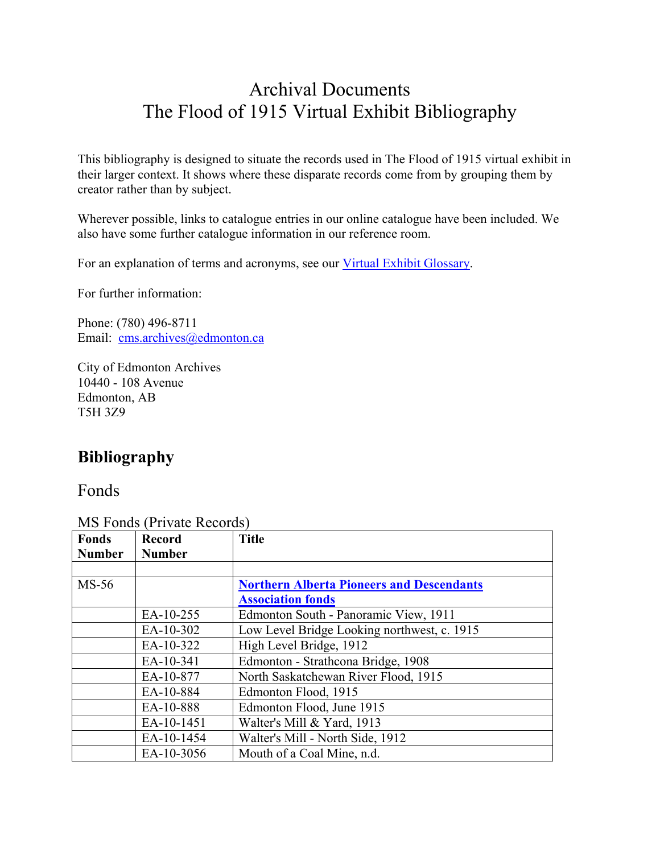## Archival Documents The Flood of 1915 Virtual Exhibit Bibliography

This bibliography is designed to situate the records used in The Flood of 1915 virtual exhibit in their larger context. It shows where these disparate records come from by grouping them by creator rather than by subject.

Wherever possible, links to catalogue entries in our online catalogue have been included. We also have some further catalogue information in our reference room.

For an explanation of terms and acronyms, see our Virtual Exhibit Glossary.

For further information:

Phone: (780) 496-8711 Email: cms.archives@edmonton.ca

City of Edmonton Archives 10440 - 108 Avenue Edmonton, AB T5H 3Z9

## **Bibliography**

Fonds

MS Fonds (Private Records)

| <b>Fonds</b>  | <b>Record</b> | <b>Title</b>                                     |
|---------------|---------------|--------------------------------------------------|
| <b>Number</b> | <b>Number</b> |                                                  |
|               |               |                                                  |
| $MS-56$       |               | <b>Northern Alberta Pioneers and Descendants</b> |
|               |               | <b>Association fonds</b>                         |
|               | EA-10-255     | Edmonton South - Panoramic View, 1911            |
|               | EA-10-302     | Low Level Bridge Looking northwest, c. 1915      |
|               | EA-10-322     | High Level Bridge, 1912                          |
|               | EA-10-341     | Edmonton - Strathcona Bridge, 1908               |
|               | EA-10-877     | North Saskatchewan River Flood, 1915             |
|               | EA-10-884     | Edmonton Flood, 1915                             |
|               | EA-10-888     | Edmonton Flood, June 1915                        |
|               | EA-10-1451    | Walter's Mill & Yard, 1913                       |
|               | EA-10-1454    | Walter's Mill - North Side, 1912                 |
|               | EA-10-3056    | Mouth of a Coal Mine, n.d.                       |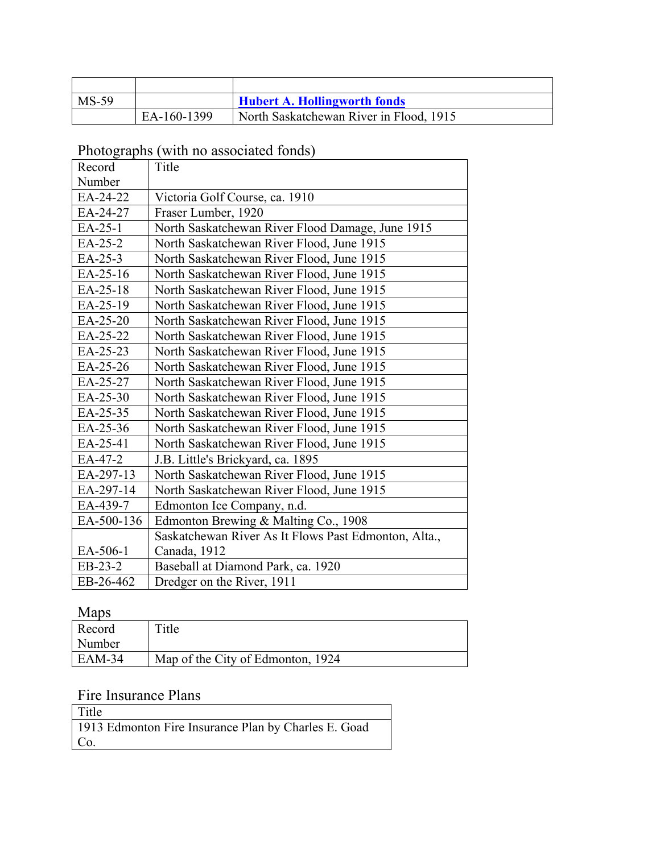| $MS-59$ |             | <b>Hubert A. Hollingworth fonds</b>     |
|---------|-------------|-----------------------------------------|
|         | EA-160-1399 | North Saskatchewan River in Flood, 1915 |

Photographs (with no associated fonds)

| Record     | Title                                                |
|------------|------------------------------------------------------|
| Number     |                                                      |
| EA-24-22   | Victoria Golf Course, ca. 1910                       |
| EA-24-27   | Fraser Lumber, 1920                                  |
| EA-25-1    | North Saskatchewan River Flood Damage, June 1915     |
| EA-25-2    | North Saskatchewan River Flood, June 1915            |
| EA-25-3    | North Saskatchewan River Flood, June 1915            |
| EA-25-16   | North Saskatchewan River Flood, June 1915            |
| EA-25-18   | North Saskatchewan River Flood, June 1915            |
| EA-25-19   | North Saskatchewan River Flood, June 1915            |
| EA-25-20   | North Saskatchewan River Flood, June 1915            |
| EA-25-22   | North Saskatchewan River Flood, June 1915            |
| EA-25-23   | North Saskatchewan River Flood, June 1915            |
| EA-25-26   | North Saskatchewan River Flood, June 1915            |
| EA-25-27   | North Saskatchewan River Flood, June 1915            |
| EA-25-30   | North Saskatchewan River Flood, June 1915            |
| EA-25-35   | North Saskatchewan River Flood, June 1915            |
| EA-25-36   | North Saskatchewan River Flood, June 1915            |
| EA-25-41   | North Saskatchewan River Flood, June 1915            |
| EA-47-2    | J.B. Little's Brickyard, ca. 1895                    |
| EA-297-13  | North Saskatchewan River Flood, June 1915            |
| EA-297-14  | North Saskatchewan River Flood, June 1915            |
| EA-439-7   | Edmonton Ice Company, n.d.                           |
| EA-500-136 | Edmonton Brewing & Malting Co., 1908                 |
|            | Saskatchewan River As It Flows Past Edmonton, Alta., |
| EA-506-1   | Canada, 1912                                         |
| EB-23-2    | Baseball at Diamond Park, ca. 1920                   |
| EB-26-462  | Dredger on the River, 1911                           |

Maps

| <b>IVIUDS</b> |                                   |
|---------------|-----------------------------------|
| Record        | Title                             |
| Number        |                                   |
| $EAM-34$      | Map of the City of Edmonton, 1924 |

## Fire Insurance Plans

| Title                                                |
|------------------------------------------------------|
| 1913 Edmonton Fire Insurance Plan by Charles E. Goad |
| Co.                                                  |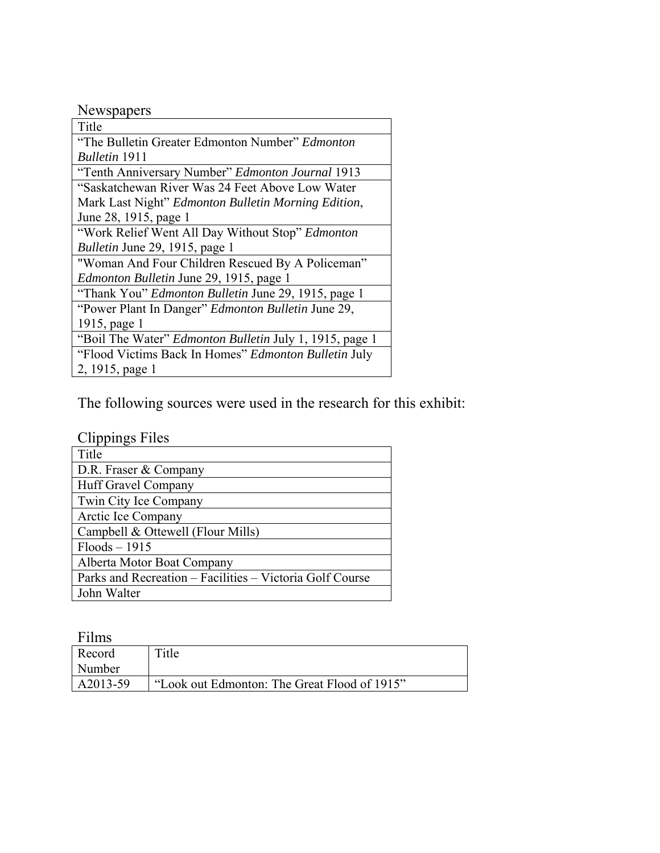| Newspapers |
|------------|
|------------|

| Title                                                       |
|-------------------------------------------------------------|
| "The Bulletin Greater Edmonton Number" Edmonton             |
| <b>Bulletin</b> 1911                                        |
| "Tenth Anniversary Number" Edmonton Journal 1913            |
| "Saskatchewan River Was 24 Feet Above Low Water             |
| Mark Last Night" Edmonton Bulletin Morning Edition,         |
| June 28, 1915, page 1                                       |
| "Work Relief Went All Day Without Stop" Edmonton            |
| Bulletin June 29, 1915, page 1                              |
| "Woman And Four Children Rescued By A Policeman"            |
| <i>Edmonton Bulletin June 29, 1915, page 1</i>              |
| "Thank You" <i>Edmonton Bulletin June 29</i> , 1915, page 1 |
| "Power Plant In Danger" <i>Edmonton Bulletin</i> June 29,   |
| 1915, page 1                                                |
| "Boil The Water" Edmonton Bulletin July 1, 1915, page 1     |
| "Flood Victims Back In Homes" Edmonton Bulletin July        |
| 2, 1915, page 1                                             |

The following sources were used in the research for this exhibit:

| <b>Clippings Files</b>                                   |
|----------------------------------------------------------|
| Title                                                    |
| D.R. Fraser & Company                                    |
| Huff Gravel Company                                      |
| Twin City Ice Company                                    |
| Arctic Ice Company                                       |
| Campbell & Ottewell (Flour Mills)                        |
| $Floods - 1915$                                          |
| Alberta Motor Boat Company                               |
| Parks and Recreation – Facilities – Victoria Golf Course |
| John Walter                                              |

| Films    |                                              |
|----------|----------------------------------------------|
| Record   | Title                                        |
| Number   |                                              |
| A2013-59 | "Look out Edmonton: The Great Flood of 1915" |